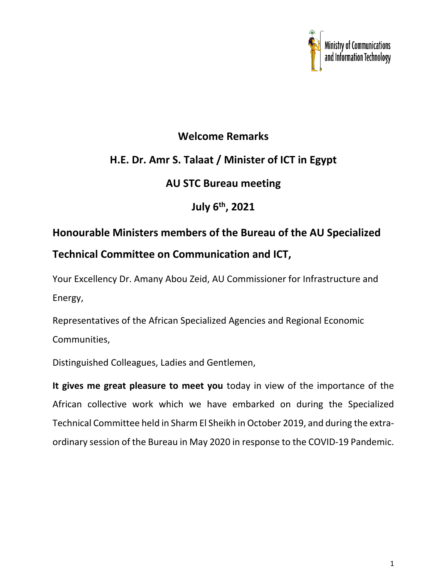

## **Welcome Remarks**

## **H.E. Dr. Amr S. Talaat / Minister of ICT in Egypt**

## **AU STC Bureau meeting**

**July 6th, 2021**

## **Honourable Ministers members of the Bureau of the AU Specialized Technical Committee on Communication and ICT,**

Your Excellency Dr. Amany Abou Zeid, AU Commissioner for Infrastructure and Energy,

Representatives of the African Specialized Agencies and Regional Economic Communities,

Distinguished Colleagues, Ladies and Gentlemen,

**It gives me great pleasure to meet you** today in view of the importance of the African collective work which we have embarked on during the Specialized Technical Committee held in Sharm El Sheikh in October 2019, and during the extraordinary session of the Bureau in May 2020 in response to the COVID-19 Pandemic.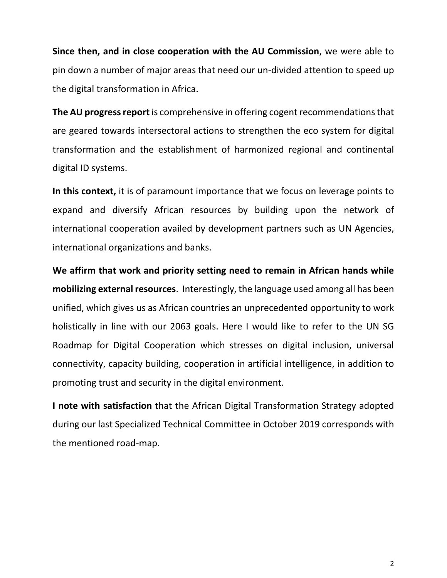**Since then, and in close cooperation with the AU Commission**, we were able to pin down a number of major areas that need our un-divided attention to speed up the digital transformation in Africa.

**The AU progress report** is comprehensive in offering cogent recommendations that are geared towards intersectoral actions to strengthen the eco system for digital transformation and the establishment of harmonized regional and continental digital ID systems.

**In this context,** it is of paramount importance that we focus on leverage points to expand and diversify African resources by building upon the network of international cooperation availed by development partners such as UN Agencies, international organizations and banks.

**We affirm that work and priority setting need to remain in African hands while mobilizing external resources**. Interestingly, the language used among all has been unified, which gives us as African countries an unprecedented opportunity to work holistically in line with our 2063 goals. Here I would like to refer to the UN SG Roadmap for Digital Cooperation which stresses on digital inclusion, universal connectivity, capacity building, cooperation in artificial intelligence, in addition to promoting trust and security in the digital environment.

**I note with satisfaction** that the African Digital Transformation Strategy adopted during our last Specialized Technical Committee in October 2019 corresponds with the mentioned road-map.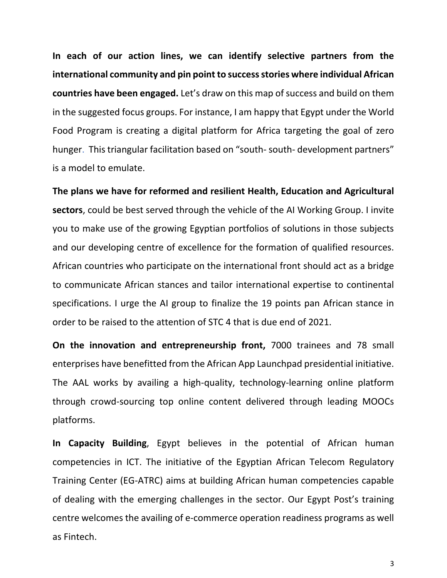**In each of our action lines, we can identify selective partners from the international community and pin point to success stories where individual African countries have been engaged.** Let's draw on this map of success and build on them in the suggested focus groups. For instance, I am happy that Egypt under the World Food Program is creating a digital platform for Africa targeting the goal of zero hunger. This triangular facilitation based on "south- south- development partners" is a model to emulate.

**The plans we have for reformed and resilient Health, Education and Agricultural sectors**, could be best served through the vehicle of the AI Working Group. I invite you to make use of the growing Egyptian portfolios of solutions in those subjects and our developing centre of excellence for the formation of qualified resources. African countries who participate on the international front should act as a bridge to communicate African stances and tailor international expertise to continental specifications. I urge the AI group to finalize the 19 points pan African stance in order to be raised to the attention of STC 4 that is due end of 2021.

**On the innovation and entrepreneurship front,** 7000 trainees and 78 small enterprises have benefitted from the African App Launchpad presidential initiative. The AAL works by availing a high-quality, technology-learning online platform through crowd-sourcing top online content delivered through leading MOOCs platforms.

**In Capacity Building**, Egypt believes in the potential of African human competencies in ICT. The initiative of the Egyptian African Telecom Regulatory Training Center (EG-ATRC) aims at building African human competencies capable of dealing with the emerging challenges in the sector. Our Egypt Post's training centre welcomes the availing of e-commerce operation readiness programs as well as Fintech.

3